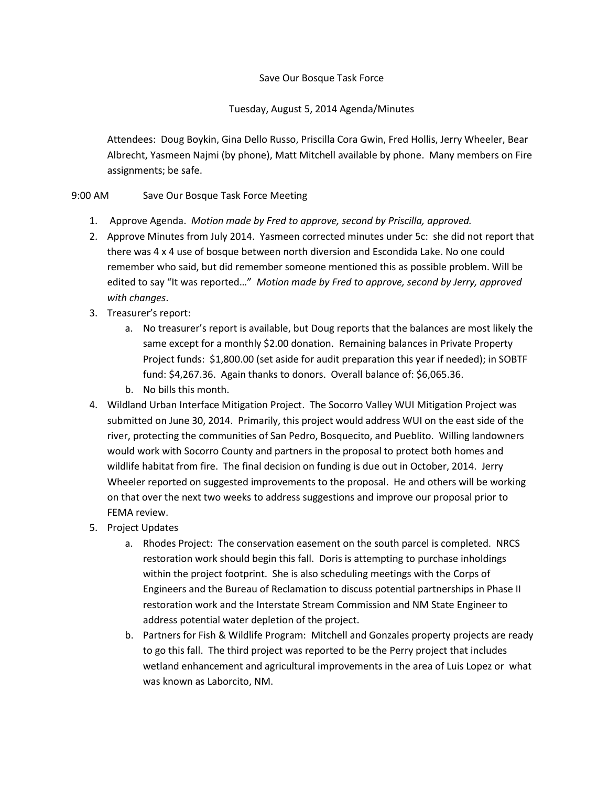## Save Our Bosque Task Force

## Tuesday, August 5, 2014 Agenda/Minutes

Attendees: Doug Boykin, Gina Dello Russo, Priscilla Cora Gwin, Fred Hollis, Jerry Wheeler, Bear Albrecht, Yasmeen Najmi (by phone), Matt Mitchell available by phone. Many members on Fire assignments; be safe.

## 9:00 AM Save Our Bosque Task Force Meeting

- 1. Approve Agenda. *Motion made by Fred to approve, second by Priscilla, approved.*
- 2. Approve Minutes from July 2014. Yasmeen corrected minutes under 5c: she did not report that there was 4 x 4 use of bosque between north diversion and Escondida Lake. No one could remember who said, but did remember someone mentioned this as possible problem. Will be edited to say "It was reported…" *Motion made by Fred to approve, second by Jerry, approved with changes*.
- 3. Treasurer's report:
	- a. No treasurer's report is available, but Doug reports that the balances are most likely the same except for a monthly \$2.00 donation. Remaining balances in Private Property Project funds: \$1,800.00 (set aside for audit preparation this year if needed); in SOBTF fund: \$4,267.36. Again thanks to donors. Overall balance of: \$6,065.36.
	- b. No bills this month.
- 4. Wildland Urban Interface Mitigation Project. The Socorro Valley WUI Mitigation Project was submitted on June 30, 2014. Primarily, this project would address WUI on the east side of the river, protecting the communities of San Pedro, Bosquecito, and Pueblito. Willing landowners would work with Socorro County and partners in the proposal to protect both homes and wildlife habitat from fire. The final decision on funding is due out in October, 2014. Jerry Wheeler reported on suggested improvements to the proposal. He and others will be working on that over the next two weeks to address suggestions and improve our proposal prior to FEMA review.
- 5. Project Updates
	- a. Rhodes Project: The conservation easement on the south parcel is completed. NRCS restoration work should begin this fall. Doris is attempting to purchase inholdings within the project footprint. She is also scheduling meetings with the Corps of Engineers and the Bureau of Reclamation to discuss potential partnerships in Phase II restoration work and the Interstate Stream Commission and NM State Engineer to address potential water depletion of the project.
	- b. Partners for Fish & Wildlife Program: Mitchell and Gonzales property projects are ready to go this fall. The third project was reported to be the Perry project that includes wetland enhancement and agricultural improvements in the area of Luis Lopez or what was known as Laborcito, NM.